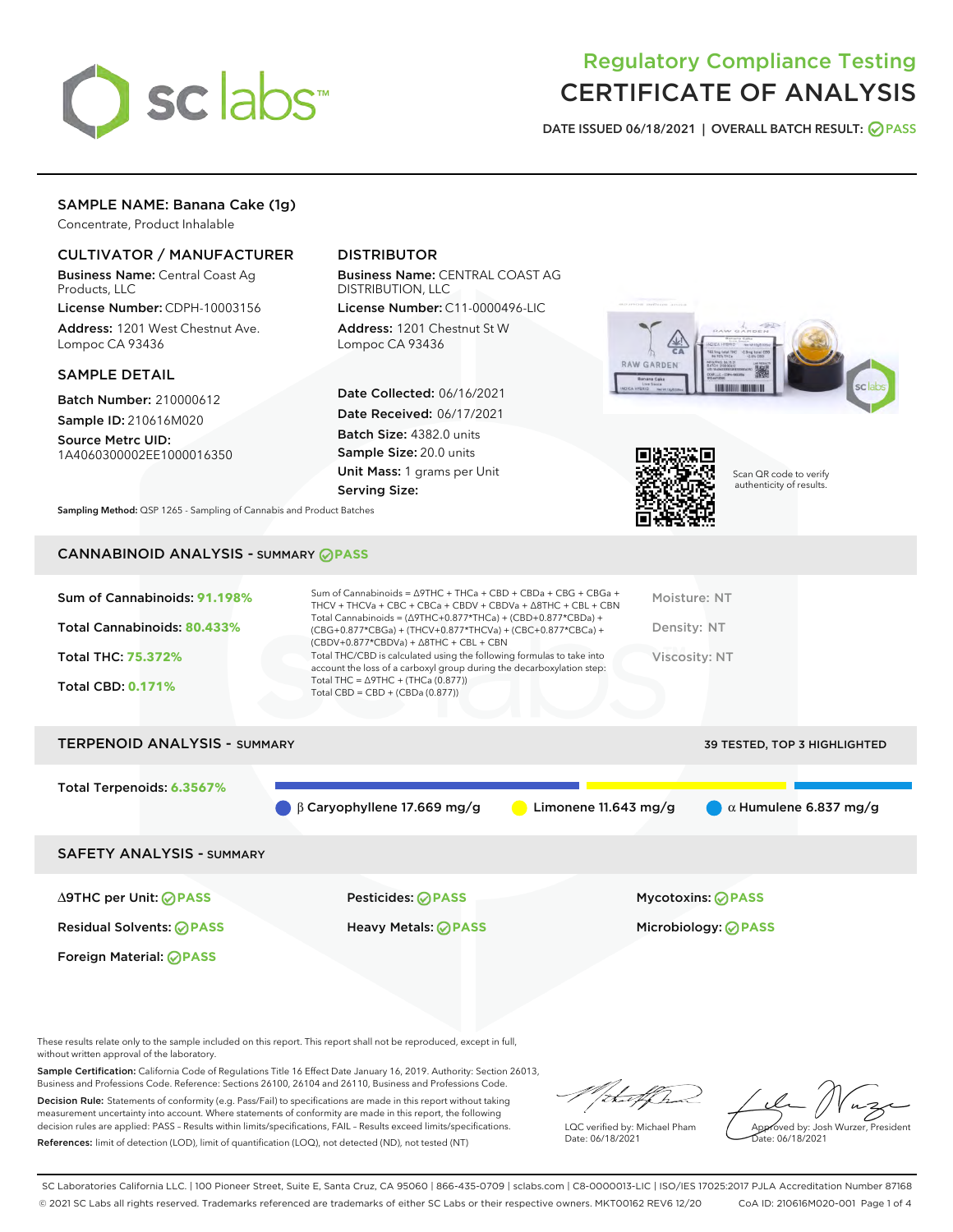

# Regulatory Compliance Testing CERTIFICATE OF ANALYSIS

DATE ISSUED 06/18/2021 | OVERALL BATCH RESULT: @ PASS

# SAMPLE NAME: Banana Cake (1g)

Concentrate, Product Inhalable

# CULTIVATOR / MANUFACTURER

Business Name: Central Coast Ag Products, LLC

License Number: CDPH-10003156 Address: 1201 West Chestnut Ave. Lompoc CA 93436

## SAMPLE DETAIL

Batch Number: 210000612 Sample ID: 210616M020

Source Metrc UID: 1A4060300002EE1000016350

# DISTRIBUTOR

Business Name: CENTRAL COAST AG DISTRIBUTION, LLC

License Number: C11-0000496-LIC Address: 1201 Chestnut St W Lompoc CA 93436

Date Collected: 06/16/2021 Date Received: 06/17/2021 Batch Size: 4382.0 units Sample Size: 20.0 units Unit Mass: 1 grams per Unit Serving Size:





Scan QR code to verify authenticity of results.

Sampling Method: QSP 1265 - Sampling of Cannabis and Product Batches

## CANNABINOID ANALYSIS - SUMMARY **PASS**

# TERPENOID ANALYSIS - SUMMARY 39 TESTED, TOP 3 HIGHLIGHTED

Total Terpenoids: **6.3567%**

β Caryophyllene 17.669 mg/g Limonene 11.643 mg/g α Humulene 6.837 mg/g

## SAFETY ANALYSIS - SUMMARY

∆9THC per Unit: **PASS** Pesticides: **PASS** Mycotoxins: **PASS**

Foreign Material: **PASS**

Residual Solvents: **PASS** Heavy Metals: **PASS** Microbiology: **PASS**

These results relate only to the sample included on this report. This report shall not be reproduced, except in full, without written approval of the laboratory.

Sample Certification: California Code of Regulations Title 16 Effect Date January 16, 2019. Authority: Section 26013, Business and Professions Code. Reference: Sections 26100, 26104 and 26110, Business and Professions Code.

Decision Rule: Statements of conformity (e.g. Pass/Fail) to specifications are made in this report without taking measurement uncertainty into account. Where statements of conformity are made in this report, the following decision rules are applied: PASS – Results within limits/specifications, FAIL – Results exceed limits/specifications. References: limit of detection (LOD), limit of quantification (LOQ), not detected (ND), not tested (NT)

:t=4fh

LQC verified by: Michael Pham Date: 06/18/2021

Approved by: Josh Wurzer, President ate: 06/18/2021

SC Laboratories California LLC. | 100 Pioneer Street, Suite E, Santa Cruz, CA 95060 | 866-435-0709 | sclabs.com | C8-0000013-LIC | ISO/IES 17025:2017 PJLA Accreditation Number 87168 © 2021 SC Labs all rights reserved. Trademarks referenced are trademarks of either SC Labs or their respective owners. MKT00162 REV6 12/20 CoA ID: 210616M020-001 Page 1 of 4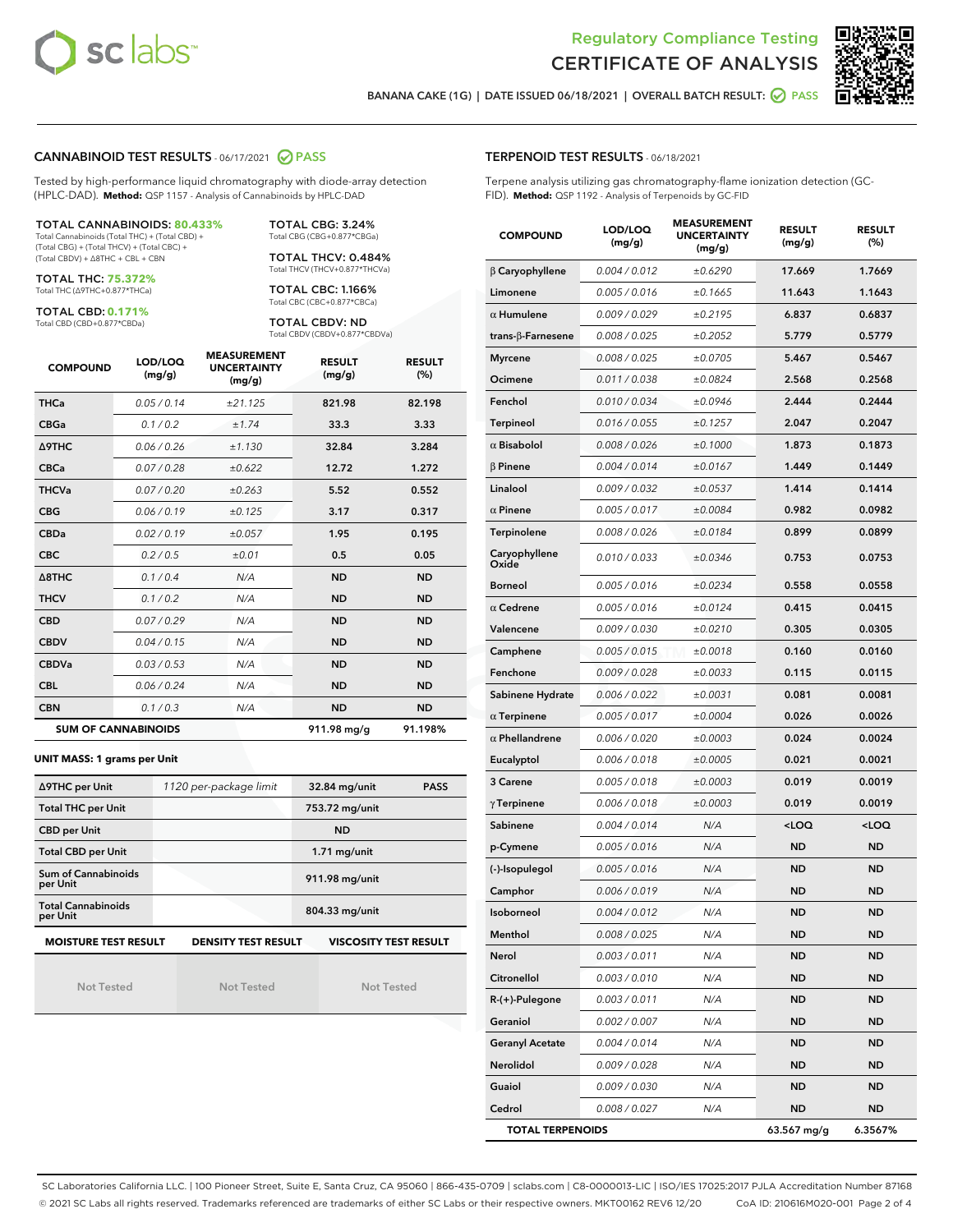



BANANA CAKE (1G) | DATE ISSUED 06/18/2021 | OVERALL BATCH RESULT: O PASS

## CANNABINOID TEST RESULTS - 06/17/2021 2 PASS

Tested by high-performance liquid chromatography with diode-array detection (HPLC-DAD). **Method:** QSP 1157 - Analysis of Cannabinoids by HPLC-DAD

## TOTAL CANNABINOIDS: **80.433%**

Total Cannabinoids (Total THC) + (Total CBD) + (Total CBG) + (Total THCV) + (Total CBC) + (Total CBDV) + ∆8THC + CBL + CBN

TOTAL THC: **75.372%** Total THC (∆9THC+0.877\*THCa)

TOTAL CBD: **0.171%**

Total CBD (CBD+0.877\*CBDa)

TOTAL CBG: 3.24% Total CBG (CBG+0.877\*CBGa)

TOTAL THCV: 0.484% Total THCV (THCV+0.877\*THCVa)

TOTAL CBC: 1.166% Total CBC (CBC+0.877\*CBCa)

TOTAL CBDV: ND Total CBDV (CBDV+0.877\*CBDVa)

| <b>COMPOUND</b>  | LOD/LOQ<br>(mg/g)          | <b>MEASUREMENT</b><br><b>UNCERTAINTY</b><br>(mg/g) | <b>RESULT</b><br>(mg/g) | <b>RESULT</b><br>(%) |
|------------------|----------------------------|----------------------------------------------------|-------------------------|----------------------|
| <b>THCa</b>      | 0.05 / 0.14                | ±21.125                                            | 821.98                  | 82.198               |
| <b>CBGa</b>      | 0.1 / 0.2                  | ±1.74                                              | 33.3                    | 3.33                 |
| <b>A9THC</b>     | 0.06 / 0.26                | ±1.130                                             | 32.84                   | 3.284                |
| <b>CBCa</b>      | 0.07/0.28                  | ±0.622                                             | 12.72                   | 1.272                |
| <b>THCVa</b>     | 0.07/0.20                  | ±0.263                                             | 5.52                    | 0.552                |
| <b>CBG</b>       | 0.06/0.19                  | ±0.125                                             | 3.17                    | 0.317                |
| <b>CBDa</b>      | 0.02 / 0.19                | ±0.057                                             | 1.95                    | 0.195                |
| <b>CBC</b>       | 0.2/0.5                    | $\pm 0.01$                                         | 0.5                     | 0.05                 |
| $\triangle$ 8THC | 0.1 / 0.4                  | N/A                                                | <b>ND</b>               | <b>ND</b>            |
| <b>THCV</b>      | 0.1/0.2                    | N/A                                                | <b>ND</b>               | <b>ND</b>            |
| <b>CBD</b>       | 0.07/0.29                  | N/A                                                | <b>ND</b>               | <b>ND</b>            |
| <b>CBDV</b>      | 0.04 / 0.15                | N/A                                                | <b>ND</b>               | <b>ND</b>            |
| <b>CBDVa</b>     | 0.03/0.53                  | N/A                                                | <b>ND</b>               | <b>ND</b>            |
| <b>CBL</b>       | 0.06 / 0.24                | N/A                                                | <b>ND</b>               | <b>ND</b>            |
| <b>CBN</b>       | 0.1/0.3                    | N/A                                                | <b>ND</b>               | <b>ND</b>            |
|                  | <b>SUM OF CANNABINOIDS</b> |                                                    | 911.98 mg/g             | 91.198%              |

#### **UNIT MASS: 1 grams per Unit**

| ∆9THC per Unit                        | 1120 per-package limit     | 32.84 mg/unit<br><b>PASS</b> |  |  |
|---------------------------------------|----------------------------|------------------------------|--|--|
| <b>Total THC per Unit</b>             |                            | 753.72 mg/unit               |  |  |
| <b>CBD per Unit</b>                   |                            | <b>ND</b>                    |  |  |
| <b>Total CBD per Unit</b>             |                            | $1.71$ mg/unit               |  |  |
| Sum of Cannabinoids<br>per Unit       |                            | 911.98 mg/unit               |  |  |
| <b>Total Cannabinoids</b><br>per Unit |                            | 804.33 mg/unit               |  |  |
| <b>MOISTURE TEST RESULT</b>           | <b>DENSITY TEST RESULT</b> | <b>VISCOSITY TEST RESULT</b> |  |  |

Not Tested

Not Tested

Not Tested

## TERPENOID TEST RESULTS - 06/18/2021

Terpene analysis utilizing gas chromatography-flame ionization detection (GC-FID). **Method:** QSP 1192 - Analysis of Terpenoids by GC-FID

| <b>COMPOUND</b>           | LOD/LOQ<br>(mg/g) | <b>MEASUREMENT</b><br><b>UNCERTAINTY</b><br>(mg/g) | <b>RESULT</b><br>(mg/g)                         | <b>RESULT</b><br>(%) |  |
|---------------------------|-------------------|----------------------------------------------------|-------------------------------------------------|----------------------|--|
| $\beta$ Caryophyllene     | 0.004 / 0.012     | ±0.6290                                            | 17.669                                          | 1.7669               |  |
| Limonene                  | 0.005 / 0.016     | ±0.1665                                            | 11.643                                          | 1.1643               |  |
| $\alpha$ Humulene         | 0.009/0.029       | ±0.2195                                            | 6.837                                           | 0.6837               |  |
| trans- $\beta$ -Farnesene | 0.008 / 0.025     | ±0.2052                                            | 5.779                                           | 0.5779               |  |
| <b>Myrcene</b>            | 0.008 / 0.025     | ±0.0705                                            | 5.467                                           | 0.5467               |  |
| Ocimene                   | 0.011 / 0.038     | ±0.0824                                            | 2.568                                           | 0.2568               |  |
| Fenchol                   | 0.010 / 0.034     | ±0.0946                                            | 2.444                                           | 0.2444               |  |
| <b>Terpineol</b>          | 0.016 / 0.055     | ±0.1257                                            | 2.047                                           | 0.2047               |  |
| $\alpha$ Bisabolol        | 0.008 / 0.026     | ±0.1000                                            | 1.873                                           | 0.1873               |  |
| $\beta$ Pinene            | 0.004 / 0.014     | ±0.0167                                            | 1.449                                           | 0.1449               |  |
| Linalool                  | 0.009 / 0.032     | ±0.0537                                            | 1.414                                           | 0.1414               |  |
| $\alpha$ Pinene           | 0.005 / 0.017     | ±0.0084                                            | 0.982                                           | 0.0982               |  |
| Terpinolene               | 0.008 / 0.026     | ±0.0184                                            | 0.899                                           | 0.0899               |  |
| Caryophyllene<br>Oxide    | 0.010 / 0.033     | ±0.0346                                            | 0.753                                           | 0.0753               |  |
| <b>Borneol</b>            | 0.005 / 0.016     | ±0.0234                                            | 0.558                                           | 0.0558               |  |
| $\alpha$ Cedrene          | 0.005 / 0.016     | ±0.0124                                            | 0.415                                           | 0.0415               |  |
| Valencene                 | 0.009 / 0.030     | ±0.0210                                            | 0.305                                           | 0.0305               |  |
| Camphene                  | 0.005 / 0.015     | ±0.0018                                            | 0.160                                           | 0.0160               |  |
| Fenchone                  | 0.009 / 0.028     | ±0.0033                                            | 0.115                                           | 0.0115               |  |
| Sabinene Hydrate          | 0.006 / 0.022     | ±0.0031                                            | 0.081                                           | 0.0081               |  |
| $\alpha$ Terpinene        | 0.005 / 0.017     | ±0.0004                                            | 0.026                                           | 0.0026               |  |
| $\alpha$ Phellandrene     | 0.006 / 0.020     | ±0.0003                                            | 0.024                                           | 0.0024               |  |
| Eucalyptol                | 0.006 / 0.018     | ±0.0005                                            | 0.021                                           | 0.0021               |  |
| 3 Carene                  | 0.005 / 0.018     | ±0.0003                                            | 0.019                                           | 0.0019               |  |
| $\gamma$ Terpinene        | 0.006 / 0.018     | ±0.0003                                            | 0.019                                           | 0.0019               |  |
| Sabinene                  | 0.004 / 0.014     | N/A                                                | <loq< th=""><th><loq< th=""></loq<></th></loq<> | <loq< th=""></loq<>  |  |
| p-Cymene                  | 0.005 / 0.016     | N/A                                                | ND                                              | <b>ND</b>            |  |
| (-)-Isopulegol            | 0.005 / 0.016     | N/A                                                | ND                                              | <b>ND</b>            |  |
| Camphor                   | 0.006 / 0.019     | N/A                                                | ND                                              | ND                   |  |
| Isoborneol                | 0.004 / 0.012     | N/A                                                | <b>ND</b>                                       | <b>ND</b>            |  |
| Menthol                   | 0.008 / 0.025     | N/A                                                | ND                                              | ND                   |  |
| Nerol                     | 0.003 / 0.011     | N/A                                                | ND                                              | <b>ND</b>            |  |
| Citronellol               | 0.003 / 0.010     | N/A                                                | <b>ND</b>                                       | <b>ND</b>            |  |
| R-(+)-Pulegone            | 0.003 / 0.011     | N/A                                                | <b>ND</b>                                       | ND                   |  |
| Geraniol                  | 0.002 / 0.007     | N/A                                                | ND                                              | ND                   |  |
| <b>Geranyl Acetate</b>    | 0.004 / 0.014     | N/A                                                | ND                                              | <b>ND</b>            |  |
| Nerolidol                 | 0.009 / 0.028     | N/A                                                | <b>ND</b>                                       | ND                   |  |
| Guaiol                    | 0.009 / 0.030     | N/A                                                | ND                                              | ND                   |  |
| Cedrol                    | 0.008 / 0.027     | N/A                                                | <b>ND</b>                                       | ND                   |  |
| <b>TOTAL TERPENOIDS</b>   |                   |                                                    | 63.567 mg/g                                     | 6.3567%              |  |

SC Laboratories California LLC. | 100 Pioneer Street, Suite E, Santa Cruz, CA 95060 | 866-435-0709 | sclabs.com | C8-0000013-LIC | ISO/IES 17025:2017 PJLA Accreditation Number 87168 © 2021 SC Labs all rights reserved. Trademarks referenced are trademarks of either SC Labs or their respective owners. MKT00162 REV6 12/20 CoA ID: 210616M020-001 Page 2 of 4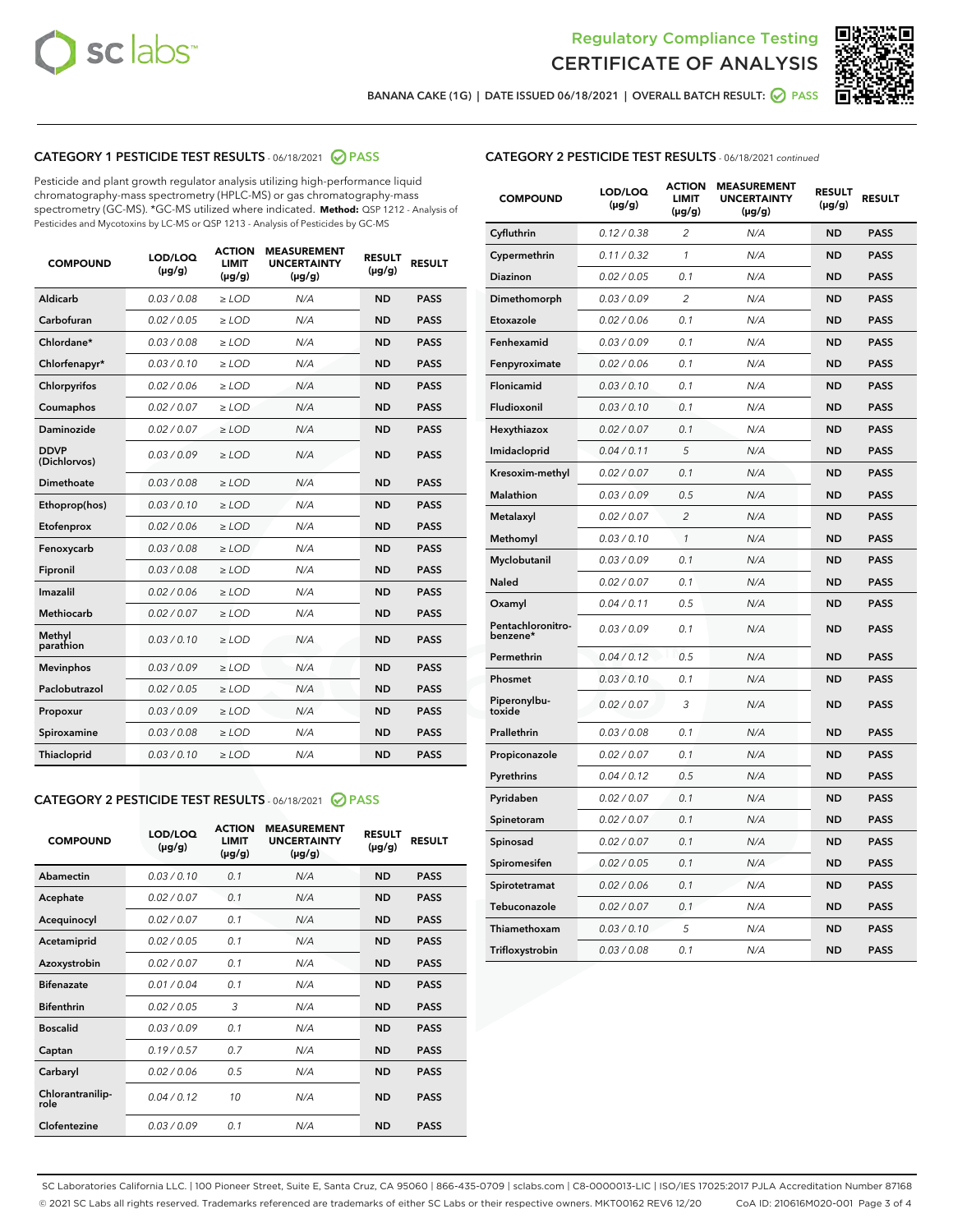



BANANA CAKE (1G) | DATE ISSUED 06/18/2021 | OVERALL BATCH RESULT:  $\bigcirc$  PASS

# CATEGORY 1 PESTICIDE TEST RESULTS - 06/18/2021 2 PASS

Pesticide and plant growth regulator analysis utilizing high-performance liquid chromatography-mass spectrometry (HPLC-MS) or gas chromatography-mass spectrometry (GC-MS). \*GC-MS utilized where indicated. **Method:** QSP 1212 - Analysis of Pesticides and Mycotoxins by LC-MS or QSP 1213 - Analysis of Pesticides by GC-MS

| <b>COMPOUND</b>             | LOD/LOQ<br>$(\mu g/g)$ | <b>ACTION</b><br><b>LIMIT</b><br>$(\mu g/g)$ | <b>MEASUREMENT</b><br><b>UNCERTAINTY</b><br>$(\mu g/g)$ | <b>RESULT</b><br>$(\mu g/g)$ | <b>RESULT</b> |
|-----------------------------|------------------------|----------------------------------------------|---------------------------------------------------------|------------------------------|---------------|
| Aldicarb                    | 0.03 / 0.08            | $\ge$ LOD                                    | N/A                                                     | <b>ND</b>                    | <b>PASS</b>   |
| Carbofuran                  | 0.02/0.05              | $>$ LOD                                      | N/A                                                     | <b>ND</b>                    | <b>PASS</b>   |
| Chlordane*                  | 0.03 / 0.08            | $\ge$ LOD                                    | N/A                                                     | <b>ND</b>                    | <b>PASS</b>   |
| Chlorfenapyr*               | 0.03/0.10              | $>$ LOD                                      | N/A                                                     | <b>ND</b>                    | <b>PASS</b>   |
| Chlorpyrifos                | 0.02 / 0.06            | $\geq$ LOD                                   | N/A                                                     | <b>ND</b>                    | <b>PASS</b>   |
| Coumaphos                   | 0.02 / 0.07            | $\ge$ LOD                                    | N/A                                                     | <b>ND</b>                    | <b>PASS</b>   |
| Daminozide                  | 0.02 / 0.07            | $\ge$ LOD                                    | N/A                                                     | <b>ND</b>                    | <b>PASS</b>   |
| <b>DDVP</b><br>(Dichlorvos) | 0.03/0.09              | $\ge$ LOD                                    | N/A                                                     | <b>ND</b>                    | <b>PASS</b>   |
| Dimethoate                  | 0.03/0.08              | $>$ LOD                                      | N/A                                                     | <b>ND</b>                    | <b>PASS</b>   |
| Ethoprop(hos)               | 0.03/0.10              | $\ge$ LOD                                    | N/A                                                     | <b>ND</b>                    | <b>PASS</b>   |
| Etofenprox                  | 0.02 / 0.06            | $\ge$ LOD                                    | N/A                                                     | <b>ND</b>                    | <b>PASS</b>   |
| Fenoxycarb                  | 0.03 / 0.08            | $\ge$ LOD                                    | N/A                                                     | <b>ND</b>                    | <b>PASS</b>   |
| Fipronil                    | 0.03/0.08              | $>$ LOD                                      | N/A                                                     | <b>ND</b>                    | <b>PASS</b>   |
| Imazalil                    | 0.02 / 0.06            | $\ge$ LOD                                    | N/A                                                     | <b>ND</b>                    | <b>PASS</b>   |
| <b>Methiocarb</b>           | 0.02 / 0.07            | $\ge$ LOD                                    | N/A                                                     | <b>ND</b>                    | <b>PASS</b>   |
| Methyl<br>parathion         | 0.03/0.10              | $\ge$ LOD                                    | N/A                                                     | <b>ND</b>                    | <b>PASS</b>   |
| <b>Mevinphos</b>            | 0.03/0.09              | $>$ LOD                                      | N/A                                                     | <b>ND</b>                    | <b>PASS</b>   |
| Paclobutrazol               | 0.02 / 0.05            | $\ge$ LOD                                    | N/A                                                     | <b>ND</b>                    | <b>PASS</b>   |
| Propoxur                    | 0.03/0.09              | $\ge$ LOD                                    | N/A                                                     | <b>ND</b>                    | <b>PASS</b>   |
| Spiroxamine                 | 0.03 / 0.08            | $\ge$ LOD                                    | N/A                                                     | <b>ND</b>                    | <b>PASS</b>   |
| Thiacloprid                 | 0.03/0.10              | $\ge$ LOD                                    | N/A                                                     | <b>ND</b>                    | <b>PASS</b>   |

## CATEGORY 2 PESTICIDE TEST RESULTS - 06/18/2021 @ PASS

| <b>COMPOUND</b>          | LOD/LOQ<br>$(\mu g/g)$ | <b>ACTION</b><br><b>LIMIT</b><br>$(\mu g/g)$ | <b>MEASUREMENT</b><br><b>UNCERTAINTY</b><br>$(\mu g/g)$ | <b>RESULT</b><br>$(\mu g/g)$ | <b>RESULT</b> |
|--------------------------|------------------------|----------------------------------------------|---------------------------------------------------------|------------------------------|---------------|
| Abamectin                | 0.03/0.10              | 0.1                                          | N/A                                                     | <b>ND</b>                    | <b>PASS</b>   |
| Acephate                 | 0.02/0.07              | 0.1                                          | N/A                                                     | <b>ND</b>                    | <b>PASS</b>   |
| Acequinocyl              | 0.02/0.07              | 0.1                                          | N/A                                                     | <b>ND</b>                    | <b>PASS</b>   |
| Acetamiprid              | 0.02/0.05              | 0.1                                          | N/A                                                     | <b>ND</b>                    | <b>PASS</b>   |
| Azoxystrobin             | 0.02/0.07              | 0.1                                          | N/A                                                     | <b>ND</b>                    | <b>PASS</b>   |
| <b>Bifenazate</b>        | 0.01/0.04              | 0.1                                          | N/A                                                     | <b>ND</b>                    | <b>PASS</b>   |
| <b>Bifenthrin</b>        | 0.02 / 0.05            | 3                                            | N/A                                                     | <b>ND</b>                    | <b>PASS</b>   |
| <b>Boscalid</b>          | 0.03/0.09              | 0.1                                          | N/A                                                     | <b>ND</b>                    | <b>PASS</b>   |
| Captan                   | 0.19/0.57              | 0.7                                          | N/A                                                     | <b>ND</b>                    | <b>PASS</b>   |
| Carbaryl                 | 0.02/0.06              | 0.5                                          | N/A                                                     | <b>ND</b>                    | <b>PASS</b>   |
| Chlorantranilip-<br>role | 0.04/0.12              | 10                                           | N/A                                                     | <b>ND</b>                    | <b>PASS</b>   |
| Clofentezine             | 0.03/0.09              | 0.1                                          | N/A                                                     | <b>ND</b>                    | <b>PASS</b>   |

| <b>CATEGORY 2 PESTICIDE TEST RESULTS</b> - 06/18/2021 continued |
|-----------------------------------------------------------------|
|-----------------------------------------------------------------|

| <b>COMPOUND</b>               | LOD/LOQ<br>(µg/g) | <b>ACTION</b><br>LIMIT<br>(µg/g) | <b>MEASUREMENT</b><br><b>UNCERTAINTY</b><br>(µg/g) | <b>RESULT</b><br>(µg/g) | <b>RESULT</b> |
|-------------------------------|-------------------|----------------------------------|----------------------------------------------------|-------------------------|---------------|
| Cyfluthrin                    | 0.12 / 0.38       | $\overline{c}$                   | N/A                                                | <b>ND</b>               | <b>PASS</b>   |
| Cypermethrin                  | 0.11/0.32         | 1                                | N/A                                                | <b>ND</b>               | <b>PASS</b>   |
| <b>Diazinon</b>               | 0.02 / 0.05       | 0.1                              | N/A                                                | <b>ND</b>               | <b>PASS</b>   |
| Dimethomorph                  | 0.03 / 0.09       | 2                                | N/A                                                | <b>ND</b>               | <b>PASS</b>   |
| Etoxazole                     | 0.02 / 0.06       | 0.1                              | N/A                                                | <b>ND</b>               | <b>PASS</b>   |
| Fenhexamid                    | 0.03 / 0.09       | 0.1                              | N/A                                                | <b>ND</b>               | <b>PASS</b>   |
| Fenpyroximate                 | 0.02 / 0.06       | 0.1                              | N/A                                                | <b>ND</b>               | <b>PASS</b>   |
| Flonicamid                    | 0.03 / 0.10       | 0.1                              | N/A                                                | <b>ND</b>               | <b>PASS</b>   |
| Fludioxonil                   | 0.03/0.10         | 0.1                              | N/A                                                | <b>ND</b>               | <b>PASS</b>   |
| Hexythiazox                   | 0.02 / 0.07       | 0.1                              | N/A                                                | <b>ND</b>               | <b>PASS</b>   |
| Imidacloprid                  | 0.04 / 0.11       | 5                                | N/A                                                | <b>ND</b>               | <b>PASS</b>   |
| Kresoxim-methyl               | 0.02 / 0.07       | 0.1                              | N/A                                                | <b>ND</b>               | <b>PASS</b>   |
| <b>Malathion</b>              | 0.03 / 0.09       | 0.5                              | N/A                                                | <b>ND</b>               | <b>PASS</b>   |
| Metalaxyl                     | 0.02 / 0.07       | $\overline{c}$                   | N/A                                                | <b>ND</b>               | <b>PASS</b>   |
| Methomyl                      | 0.03 / 0.10       | 1                                | N/A                                                | <b>ND</b>               | <b>PASS</b>   |
| Myclobutanil                  | 0.03/0.09         | 0.1                              | N/A                                                | <b>ND</b>               | <b>PASS</b>   |
| Naled                         | 0.02 / 0.07       | 0.1                              | N/A                                                | <b>ND</b>               | <b>PASS</b>   |
| Oxamyl                        | 0.04 / 0.11       | 0.5                              | N/A                                                | <b>ND</b>               | <b>PASS</b>   |
| Pentachloronitro-<br>benzene* | 0.03/0.09         | 0.1                              | N/A                                                | <b>ND</b>               | <b>PASS</b>   |
| Permethrin                    | 0.04 / 0.12       | 0.5                              | N/A                                                | <b>ND</b>               | <b>PASS</b>   |
| Phosmet                       | 0.03 / 0.10       | 0.1                              | N/A                                                | <b>ND</b>               | <b>PASS</b>   |
| Piperonylbu-<br>toxide        | 0.02 / 0.07       | 3                                | N/A                                                | <b>ND</b>               | <b>PASS</b>   |
| Prallethrin                   | 0.03 / 0.08       | 0.1                              | N/A                                                | <b>ND</b>               | <b>PASS</b>   |
| Propiconazole                 | 0.02 / 0.07       | 0.1                              | N/A                                                | <b>ND</b>               | <b>PASS</b>   |
| Pyrethrins                    | 0.04 / 0.12       | 0.5                              | N/A                                                | <b>ND</b>               | <b>PASS</b>   |
| Pyridaben                     | 0.02 / 0.07       | 0.1                              | N/A                                                | <b>ND</b>               | <b>PASS</b>   |
| Spinetoram                    | 0.02 / 0.07       | 0.1                              | N/A                                                | <b>ND</b>               | <b>PASS</b>   |
| Spinosad                      | 0.02 / 0.07       | 0.1                              | N/A                                                | <b>ND</b>               | <b>PASS</b>   |
| Spiromesifen                  | 0.02 / 0.05       | 0.1                              | N/A                                                | <b>ND</b>               | <b>PASS</b>   |
| Spirotetramat                 | 0.02 / 0.06       | 0.1                              | N/A                                                | <b>ND</b>               | <b>PASS</b>   |
| Tebuconazole                  | 0.02 / 0.07       | 0.1                              | N/A                                                | <b>ND</b>               | <b>PASS</b>   |
| Thiamethoxam                  | 0.03 / 0.10       | 5                                | N/A                                                | <b>ND</b>               | <b>PASS</b>   |
| Trifloxystrobin               | 0.03 / 0.08       | 0.1                              | N/A                                                | <b>ND</b>               | <b>PASS</b>   |

SC Laboratories California LLC. | 100 Pioneer Street, Suite E, Santa Cruz, CA 95060 | 866-435-0709 | sclabs.com | C8-0000013-LIC | ISO/IES 17025:2017 PJLA Accreditation Number 87168 © 2021 SC Labs all rights reserved. Trademarks referenced are trademarks of either SC Labs or their respective owners. MKT00162 REV6 12/20 CoA ID: 210616M020-001 Page 3 of 4